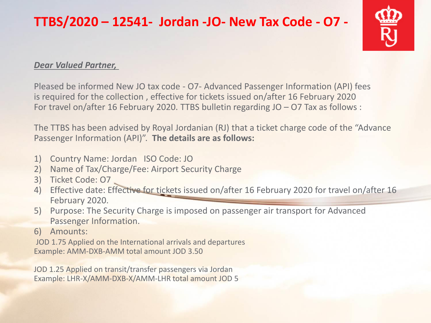## **TTBS/2020 – 12541- Jordan -JO- New Tax Code - O7 -**



## *Dear Valued Partner,*

Pleased be informed New JO tax code - O7- Advanced Passenger Information (API) fees is required for the collection , effective for tickets issued on/after 16 February 2020 For travel on/after 16 February 2020. TTBS bulletin regarding JO – O7 Tax as follows :

The TTBS has been advised by Royal Jordanian (RJ) that a ticket charge code of the "Advance Passenger Information (API)". **The details are as follows:**

- 1) Country Name: Jordan ISO Code: JO
- 2) Name of Tax/Charge/Fee: Airport Security Charge
- 3) Ticket Code: O7
- 4) Effective date: Effective for tickets issued on/after 16 February 2020 for travel on/after 16 February 2020.
- 5) Purpose: The Security Charge is imposed on passenger air transport for Advanced Passenger Information.
- 6) Amounts:

JOD 1.75 Applied on the International arrivals and departures Example: AMM-DXB-AMM total amount JOD 3.50

JOD 1.25 Applied on transit/transfer passengers via Jordan Example: LHR-X/AMM-DXB-X/AMM-LHR total amount JOD 5